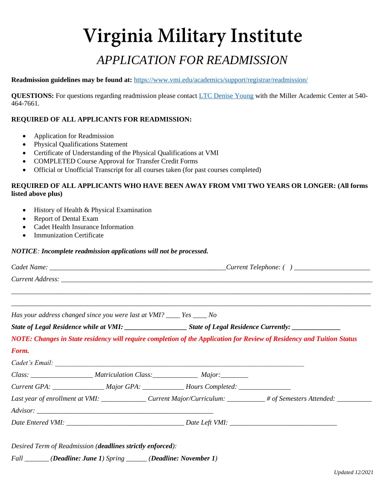# Virginia Military Institute *APPLICATION FOR READMISSION*

#### **Readmission guidelines may be found at:** <https://www.vmi.edu/academics/support/registrar/readmission/>

**QUESTIONS:** For questions regarding readmission please contact [LTC Denise Young](mailto:MACCalendar@vmi.edu) with the Miller Academic Center at 540- 464-7661.

### **REQUIRED OF ALL APPLICANTS FOR READMISSION:**

- Application for Readmission
- Physical Qualifications Statement
- Certificate of Understanding of the Physical Qualifications at VMI
- COMPLETED Course Approval for Transfer Credit Forms
- Official or Unofficial Transcript for all courses taken (for past courses completed)

### **REQUIRED OF ALL APPLICANTS WHO HAVE BEEN AWAY FROM VMI TWO YEARS OR LONGER: (All forms listed above plus)**

- History of Health & Physical Examination
- Report of Dental Exam
- Cadet Health Insurance Information
- Immunization Certificate

#### *NOTICE: Incomplete readmission applications will not be processed.*

|       | Has your address changed since you were last at VMI? ____ Yes ____ No                                          |                                                                                                      |                                                                                                                        |  |
|-------|----------------------------------------------------------------------------------------------------------------|------------------------------------------------------------------------------------------------------|------------------------------------------------------------------------------------------------------------------------|--|
|       | State of Legal Residence while at VMI: _____________________State of Legal Residence Currently: ______________ |                                                                                                      |                                                                                                                        |  |
|       |                                                                                                                |                                                                                                      | NOTE: Changes in State residency will require completion of the Application for Review of Residency and Tuition Status |  |
|       |                                                                                                                |                                                                                                      |                                                                                                                        |  |
|       |                                                                                                                |                                                                                                      |                                                                                                                        |  |
|       |                                                                                                                |                                                                                                      |                                                                                                                        |  |
|       |                                                                                                                | Class: __________________________Matriculation Class: ___________________________ Major: ___________ |                                                                                                                        |  |
| Form. |                                                                                                                | Current GPA: ____________________Major GPA: _______________Hours Completed: _______________________  |                                                                                                                        |  |
|       |                                                                                                                |                                                                                                      | Last year of enrollment at VMI: ______________Current Major/Curriculum: _________# of Semesters Attended: __________   |  |
|       |                                                                                                                |                                                                                                      |                                                                                                                        |  |

*Fall \_\_\_\_\_\_\_ (Deadline: June 1) Spring \_\_\_\_\_\_ (Deadline: November 1)*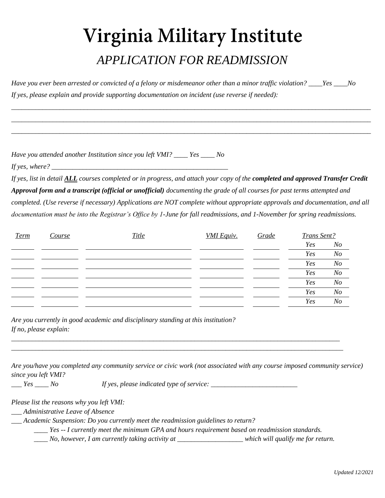## Virginia Military Institute *APPLICATION FOR READMISSION*

*Have you ever been arrested or convicted of a felony or misdemeanor other than a minor traffic violation? \_\_\_\_Yes \_\_\_\_No If yes, please explain and provide supporting documentation on incident (use reverse if needed):*

\_\_\_\_\_\_\_\_\_\_\_\_\_\_\_\_\_\_\_\_\_\_\_\_\_\_\_\_\_\_\_\_\_\_\_\_\_\_\_\_\_\_\_\_\_\_\_\_\_\_\_\_\_\_\_\_\_\_\_\_\_\_\_\_\_\_\_\_\_\_\_\_\_\_\_\_\_\_\_\_\_\_\_\_\_\_\_\_\_\_\_\_\_\_\_\_\_\_\_\_\_\_\_\_ \_\_\_\_\_\_\_\_\_\_\_\_\_\_\_\_\_\_\_\_\_\_\_\_\_\_\_\_\_\_\_\_\_\_\_\_\_\_\_\_\_\_\_\_\_\_\_\_\_\_\_\_\_\_\_\_\_\_\_\_\_\_\_\_\_\_\_\_\_\_\_\_\_\_\_\_\_\_\_\_\_\_\_\_\_\_\_\_\_\_\_\_\_\_\_\_\_\_\_\_\_\_\_\_ \_\_\_\_\_\_\_\_\_\_\_\_\_\_\_\_\_\_\_\_\_\_\_\_\_\_\_\_\_\_\_\_\_\_\_\_\_\_\_\_\_\_\_\_\_\_\_\_\_\_\_\_\_\_\_\_\_\_\_\_\_\_\_\_\_\_\_\_\_\_\_\_\_\_\_\_\_\_\_\_\_\_\_\_\_\_\_\_\_\_\_\_\_\_\_\_\_\_\_\_\_\_\_\_

*Have you attended another Institution since you left VMI? \_\_\_\_ Yes \_\_\_\_ No*

*If yes, where?* 

*If yes, list in detail ALL courses completed or in progress, and attach your copy of the completed and approved Transfer Credit Approval form and a transcript (official or unofficial) documenting the grade of all courses for past terms attempted and completed. (Use reverse if necessary) Applications are NOT complete without appropriate approvals and documentation, and all documentation must be into the Registrar's Office by 1-June for fall readmissions, and 1-November for spring readmissions.*

| <b>Term</b> | Course | <b>Title</b> | <b>VMI</b> Equiv. | Grade |     | Trans Sent?    |  |
|-------------|--------|--------------|-------------------|-------|-----|----------------|--|
|             |        |              |                   |       | Yes | N <sub>O</sub> |  |
|             |        |              |                   |       | Yes | N <sub>O</sub> |  |
|             |        |              |                   |       | Yes | N <sub>O</sub> |  |
|             |        |              |                   |       | Yes | N o            |  |
|             |        |              |                   |       | Yes | N <sub>O</sub> |  |
|             |        |              |                   |       | Yes | N <sub>O</sub> |  |
|             |        |              |                   |       | Yes | N <sub>O</sub> |  |

*Are you currently in good academic and disciplinary standing at this institution? If no, please explain:* 

*Are you/have you completed any community service or civic work (not associated with any course imposed community service) since you left VMI?*

*\_\_\_ Yes \_\_\_\_ No If yes, please indicated type of service: \_\_\_\_\_\_\_\_\_\_\_\_\_\_\_\_\_\_\_\_\_\_\_\_\_*

*\_\_\_\_\_\_\_\_\_\_\_\_\_\_\_\_\_\_\_\_\_\_\_\_\_\_\_\_\_\_\_\_\_\_\_\_\_\_\_\_\_\_\_\_\_\_\_\_\_\_\_\_\_\_\_\_\_\_\_\_\_\_\_\_\_\_\_\_\_\_\_\_\_\_\_\_\_\_\_\_\_\_\_\_\_\_\_\_\_\_\_\_\_\_\_ \_\_\_\_\_\_\_\_\_\_\_\_\_\_\_\_\_\_\_\_\_\_\_\_\_\_\_\_\_\_\_\_\_\_\_\_\_\_\_\_\_\_\_\_\_\_\_\_\_\_\_\_\_\_\_\_\_\_\_\_\_\_\_\_\_\_\_\_\_\_\_\_\_\_\_\_\_\_\_\_\_\_\_\_\_\_\_\_\_\_\_\_\_\_\_\_*

*Please list the reasons why you left VMI:*

*\_\_\_ Administrative Leave of Absence*

*\_\_\_ Academic Suspension: Do you currently meet the readmission guidelines to return?*

*\_\_\_\_ Yes -- I currently meet the minimum GPA and hours requirement based on readmission standards.*

*\_\_\_\_ No, however, I am currently taking activity at \_\_\_\_\_\_\_\_\_\_\_\_\_\_\_\_\_\_\_ which will qualify me for return.*